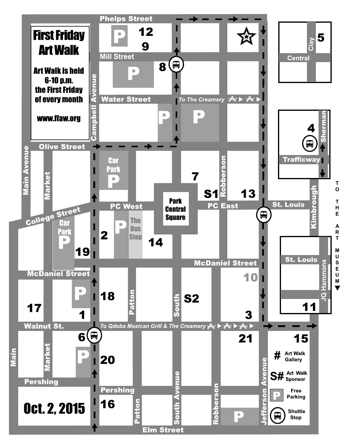